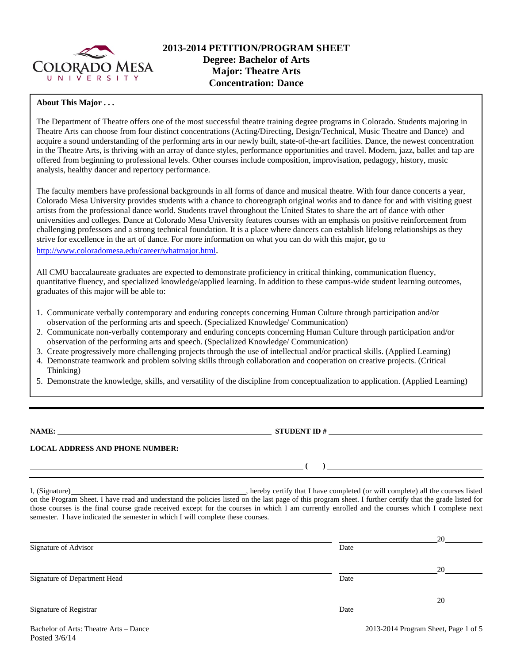

#### **About This Major . . .**

The Department of Theatre offers one of the most successful theatre training degree programs in Colorado. Students majoring in Theatre Arts can choose from four distinct concentrations (Acting/Directing, Design/Technical, Music Theatre and Dance) and acquire a sound understanding of the performing arts in our newly built, state-of-the-art facilities. Dance, the newest concentration in the Theatre Arts, is thriving with an array of dance styles, performance opportunities and travel. Modern, jazz, ballet and tap are offered from beginning to professional levels. Other courses include composition, improvisation, pedagogy, history, music analysis, healthy dancer and repertory performance.

The faculty members have professional backgrounds in all forms of dance and musical theatre. With four dance concerts a year, Colorado Mesa University provides students with a chance to choreograph original works and to dance for and with visiting guest artists from the professional dance world. Students travel throughout the United States to share the art of dance with other universities and colleges. Dance at Colorado Mesa University features courses with an emphasis on positive reinforcement from challenging professors and a strong technical foundation. It is a place where dancers can establish lifelong relationships as they strive for excellence in the art of dance. For more information on what you can do with this major, go to http://www.coloradomesa.edu/career/whatmajor.html.

All CMU baccalaureate graduates are expected to demonstrate proficiency in critical thinking, communication fluency, quantitative fluency, and specialized knowledge/applied learning. In addition to these campus-wide student learning outcomes, graduates of this major will be able to:

- 1. Communicate verbally contemporary and enduring concepts concerning Human Culture through participation and/or observation of the performing arts and speech. (Specialized Knowledge/ Communication)
- 2. Communicate non-verbally contemporary and enduring concepts concerning Human Culture through participation and/or observation of the performing arts and speech. (Specialized Knowledge/ Communication)
- 3. Create progressively more challenging projects through the use of intellectual and/or practical skills. (Applied Learning)
- 4. Demonstrate teamwork and problem solving skills through collaboration and cooperation on creative projects. (Critical Thinking)
- 5. Demonstrate the knowledge, skills, and versatility of the discipline from conceptualization to application. (Applied Learning)

**NAME: STUDENT ID #**

 $( )$   $)$   $)$ 

**LOCAL ADDRESS AND PHONE NUMBER:**

I, (Signature) **Source 2008** (Signature) **, hereby certify that I have completed** (or will complete) all the courses listed on the Program Sheet. I have read and understand the policies listed on the last page of this program sheet. I further certify that the grade listed for those courses is the final course grade received except for the courses in which I am currently enrolled and the courses which I complete next semester. I have indicated the semester in which I will complete these courses.

|                              |      | 20 |
|------------------------------|------|----|
| Signature of Advisor         | Date |    |
|                              |      | 20 |
| Signature of Department Head | Date |    |
|                              |      | 20 |
| Signature of Registrar       | Date |    |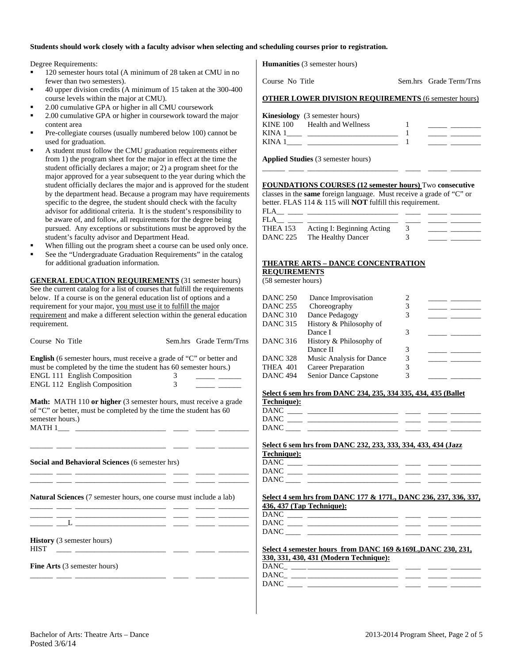#### **Students should work closely with a faculty advisor when selecting and scheduling courses prior to registration.**

Degree Requirements:

- <sup>120</sup> semester hours total (A minimum of 28 taken at CMU in no fewer than two semesters).
- 40 upper division credits (A minimum of 15 taken at the 300-400 course levels within the major at CMU).
- 2.00 cumulative GPA or higher in all CMU coursework
- 2.00 cumulative GPA or higher in coursework toward the major content area
- Pre-collegiate courses (usually numbered below 100) cannot be used for graduation.
- A student must follow the CMU graduation requirements either from 1) the program sheet for the major in effect at the time the student officially declares a major; or 2) a program sheet for the major approved for a year subsequent to the year during which the student officially declares the major and is approved for the student by the department head. Because a program may have requirements specific to the degree, the student should check with the faculty advisor for additional criteria. It is the student's responsibility to be aware of, and follow, all requirements for the degree being pursued. Any exceptions or substitutions must be approved by the student's faculty advisor and Department Head.
- When filling out the program sheet a course can be used only once.
- See the "Undergraduate Graduation Requirements" in the catalog for additional graduation information.

**GENERAL EDUCATION REQUIREMENTS** (31 semester hours) See the current catalog for a list of courses that fulfill the requirements below. If a course is on the general education list of options and a requirement for your major, you must use it to fulfill the major requirement and make a different selection within the general education requirement.

|                                                                                                                                                                                                                                      |                                       |                         |                 | Dance I                                                                                                                                                  | 3 |  |
|--------------------------------------------------------------------------------------------------------------------------------------------------------------------------------------------------------------------------------------|---------------------------------------|-------------------------|-----------------|----------------------------------------------------------------------------------------------------------------------------------------------------------|---|--|
| Course No Title                                                                                                                                                                                                                      |                                       | Sem.hrs Grade Term/Trns | <b>DANC 316</b> | History & Philosophy of                                                                                                                                  |   |  |
|                                                                                                                                                                                                                                      |                                       |                         |                 | Dance II                                                                                                                                                 | 3 |  |
| <b>English</b> (6 semester hours, must receive a grade of "C" or better and                                                                                                                                                          |                                       |                         | <b>DANC 328</b> | Music Analysis for Dance                                                                                                                                 | 3 |  |
| must be completed by the time the student has 60 semester hours.)                                                                                                                                                                    |                                       |                         | <b>THEA 401</b> | Career Preparation                                                                                                                                       | 3 |  |
| ENGL 111 English Composition                                                                                                                                                                                                         |                                       |                         | <b>DANC 494</b> | Senior Dance Capstone                                                                                                                                    | 3 |  |
| <b>ENGL 112 English Composition</b>                                                                                                                                                                                                  | $\begin{array}{c} 3 \\ 3 \end{array}$ |                         |                 |                                                                                                                                                          |   |  |
|                                                                                                                                                                                                                                      |                                       |                         |                 | Select 6 sem hrs from DANC 234, 235, 334 335, 434, 435 (Ballet                                                                                           |   |  |
| Math: MATH 110 or higher (3 semester hours, must receive a grade                                                                                                                                                                     |                                       |                         | Technique):     |                                                                                                                                                          |   |  |
| of "C" or better, must be completed by the time the student has 60                                                                                                                                                                   |                                       |                         |                 |                                                                                                                                                          |   |  |
| semester hours.)                                                                                                                                                                                                                     |                                       |                         |                 | $DANC \begin{tabular}{cccccccccc} \textbf{DANC} & \textbf{---} & \textbf{---} & \textbf{---} & \textbf{---} & \textbf{---} & \textbf{---} \end{tabular}$ |   |  |
|                                                                                                                                                                                                                                      |                                       |                         |                 |                                                                                                                                                          |   |  |
|                                                                                                                                                                                                                                      |                                       |                         |                 |                                                                                                                                                          |   |  |
|                                                                                                                                                                                                                                      |                                       |                         |                 | Select 6 sem hrs from DANC 232, 233, 333, 334, 433, 434 (Jazz                                                                                            |   |  |
|                                                                                                                                                                                                                                      |                                       |                         | Technique):     |                                                                                                                                                          |   |  |
| Social and Behavioral Sciences (6 semester hrs)                                                                                                                                                                                      |                                       |                         |                 |                                                                                                                                                          |   |  |
| the control of the control of the control of the control of the control of the control of                                                                                                                                            |                                       |                         |                 |                                                                                                                                                          |   |  |
|                                                                                                                                                                                                                                      |                                       |                         |                 |                                                                                                                                                          |   |  |
|                                                                                                                                                                                                                                      |                                       |                         |                 |                                                                                                                                                          |   |  |
| <b>Natural Sciences</b> (7 semester hours, one course must include a lab)                                                                                                                                                            |                                       |                         |                 | Select 4 sem hrs from DANC 177 & 177L, DANC 236, 237, 336, 337,                                                                                          |   |  |
| <u>and the contract of the contract of the contract of the contract of the contract of the contract of the contract of the contract of the contract of the contract of the contract of the contract of the contract of the contr</u> |                                       |                         |                 | 436, 437 (Tap Technique):                                                                                                                                |   |  |
|                                                                                                                                                                                                                                      |                                       |                         |                 | $\overline{\text{DANC}}$                                                                                                                                 |   |  |
|                                                                                                                                                                                                                                      |                                       |                         |                 |                                                                                                                                                          |   |  |
|                                                                                                                                                                                                                                      |                                       |                         |                 |                                                                                                                                                          |   |  |
| <b>History</b> (3 semester hours)                                                                                                                                                                                                    |                                       |                         |                 |                                                                                                                                                          |   |  |
| <b>HIST</b><br><u> 1982 - Alexandria Alexandria (h. 19</u>                                                                                                                                                                           |                                       |                         |                 | Select 4 semester hours from DANC 169 & 169L, DANC 230, 231,                                                                                             |   |  |
|                                                                                                                                                                                                                                      |                                       |                         |                 | <u>330, 331, 430, 431 (Modern Technique):</u>                                                                                                            |   |  |
| Fine Arts (3 semester hours)                                                                                                                                                                                                         |                                       |                         |                 |                                                                                                                                                          |   |  |
|                                                                                                                                                                                                                                      |                                       |                         |                 |                                                                                                                                                          |   |  |
|                                                                                                                                                                                                                                      |                                       |                         |                 |                                                                                                                                                          |   |  |
|                                                                                                                                                                                                                                      |                                       |                         |                 |                                                                                                                                                          |   |  |

**Humanities** (3 semester hours)

Course No Title Sem.hrs Grade Term/Trns

#### **OTHER LOWER DIVISION REQUIREMENTS** (6 semester hours)

| KINA .<br>KINA | <b>Kinesiology</b> (3 semester hours)<br>KINE 100 Health and Wellness |  |
|----------------|-----------------------------------------------------------------------|--|
|                |                                                                       |  |
|                |                                                                       |  |

**Applied Studies** (3 semester hours)

#### **FOUNDATIONS COURSES (12 semester hours)** Two **consecutive**

\_\_\_\_\_\_ \_\_\_\_ \_\_\_\_\_\_\_\_\_\_\_\_\_\_\_\_\_\_\_\_\_\_\_\_ \_\_\_\_ \_\_\_\_\_ \_\_\_\_\_\_\_\_

classes in the **same** foreign language. Must receive a grade of "C" or better. FLAS 114 & 115 will **NOT** fulfill this requirement.

| FLA<br><b>FLA</b> |                            |  |  |
|-------------------|----------------------------|--|--|
| <b>THEA 153</b>   | Acting I: Beginning Acting |  |  |
| DANC 225          | The Healthy Dancer         |  |  |

#### **THEATRE ARTS – DANCE CONCENTRATION REQUIREMENTS**

(58 semester hours)

| DANC 250        | Dance Improvisation       |   |  |
|-----------------|---------------------------|---|--|
| <b>DANC 255</b> | Choreography              | 3 |  |
| DANC 310        | Dance Pedagogy            |   |  |
| DANC 315        | History & Philosophy of   |   |  |
|                 | Dance I                   |   |  |
| DANC 316        | History & Philosophy of   |   |  |
|                 | Dance II                  | 3 |  |
| DANC 328        | Music Analysis for Dance  | 3 |  |
| THEA 401        | <b>Career Preparation</b> |   |  |
| DANC 494        | Senior Dance Capstone     |   |  |
|                 |                           |   |  |

|  |  | Select 6 sem hrs from DANC 234, 235, 334 335, 434, 435 (Ballet |  |  |  |
|--|--|----------------------------------------------------------------|--|--|--|
|--|--|----------------------------------------------------------------|--|--|--|

| DANC |  |  |
|------|--|--|
| DANC |  |  |
| DANC |  |  |

| Select 6 sem hrs from DANC 232, 233, 333, 334, 433, 434 (Jazz<br>Technique): |  |  |
|------------------------------------------------------------------------------|--|--|
| DANC ____ ________________________                                           |  |  |
| DANC _____ _________                                                         |  |  |
|                                                                              |  |  |
| Select 4 sem hrs from DANC 177 & 177L, DANC 236, 237, 336, 337,              |  |  |

# **436, 437 (Tap Technique):**

| D٨<br>レハハ         |  |  |  |
|-------------------|--|--|--|
| D٨<br><u>iniv</u> |  |  |  |

|      |  | 330, 331, 430, 431 (Modern Technique): |  |  |
|------|--|----------------------------------------|--|--|
| DANC |  |                                        |  |  |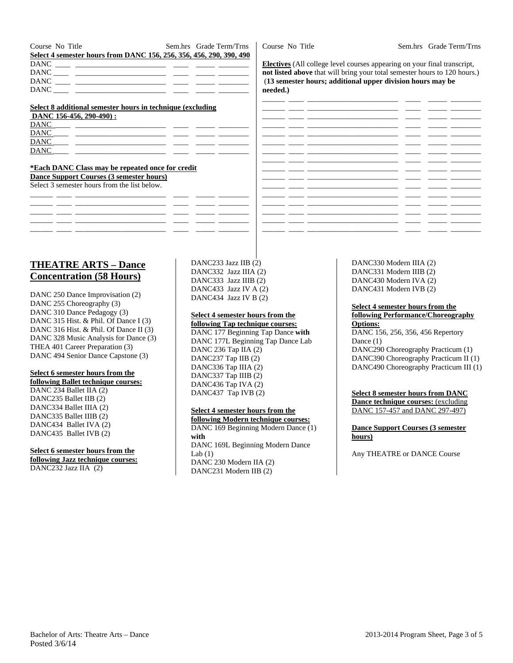Course No Title Sem.hrs Grade Term/Trns **Select 4 semester hours from DANC 156, 256, 356, 456, 290, 390, 490**  DANC \_\_\_\_ \_\_\_\_\_\_\_\_\_\_\_\_\_\_\_\_\_\_\_\_\_\_\_\_ \_\_\_\_ \_\_\_\_\_ \_\_\_\_\_\_\_\_ DANC DANC \_\_\_\_ \_\_\_\_\_\_\_\_\_\_\_\_\_\_\_\_\_\_\_\_\_\_\_\_ \_\_\_\_ \_\_\_\_\_ \_\_\_\_\_\_\_\_  $DANC$   $-$ 

#### **Select 8 additional semester hours in technique (excluding**

|             | DANC 156-456, 290-490): |  |  |
|-------------|-------------------------|--|--|
| <b>DANC</b> |                         |  |  |
| <b>DANC</b> |                         |  |  |
| <b>DANC</b> |                         |  |  |
| <b>DANC</b> |                         |  |  |

#### **\*Each DANC Class may be repeated once for credit Dance Support Courses (3 semester hours)**

Select 3 semester hours from the list below.

# **THEATRE ARTS – Dance Concentration (58 Hours)**

DANC 250 Dance Improvisation (2) DANC 255 Choreography (3) DANC 310 Dance Pedagogy (3) DANC 315 Hist. & Phil. Of Dance I (3) DANC 316 Hist. & Phil. Of Dance II (3) DANC 328 Music Analysis for Dance (3) THEA 401 Career Preparation (3) DANC 494 Senior Dance Capstone (3)

#### **Select 6 semester hours from the**

**following Ballet technique courses:**  DANC 234 Ballet IIA (2) DANC235 Ballet IIB (2) DANC334 Ballet IIIA (2) DANC335 Ballet IIIB (2) DANC434 Ballet IVA (2) DANC435 Ballet IVB (2)

#### **Select 6 semester hours from the**

**following Jazz technique courses:**  DANC232 Jazz IIA (2)

DANC233 Jazz IIB (2) DANC332 Jazz IIIA (2) DANC333 Jazz IIIB (2) DANC433 Jazz IV A (2) DANC434 Jazz IV B (2)

#### **Select 4 semester hours from the**

**following Tap technique courses:**  DANC 177 Beginning Tap Dance **with**  DANC 177L Beginning Tap Dance Lab DANC 236 Tap IIA (2) DANC237 Tap IIB (2) DANC336 Tap IIIA (2) DANC337 Tap IIIB (2) DANC436 Tap IVA (2) DANC437 Tap IVB (2)

#### **Select 4 semester hours from the**

**following Modern technique courses:**  DANC 169 Beginning Modern Dance (1) **with** DANC 169L Beginning Modern Dance Lab $(1)$ DANC 230 Modern IIA (2) DANC231 Modern IIB (2)

DANC330 Modern IIIA (2) DANC331 Modern IIIB (2) DANC430 Modern IVA (2) DANC431 Modern IVB (2)

#### **Select 4 semester hours from the following Performance/Choreography Options:**

DANC 156, 256, 356, 456 Repertory Dance (1) DANC290 Choreography Practicum (1) DANC390 Choreography Practicum II (1) DANC490 Choreography Practicum III (1)

**Select 8 semester hours from DANC Dance technique courses:** (excluding DANC 157-457 and DANC 297-497)

**Dance Support Courses (3 semester hours)** 

Any THEATRE or DANCE Course

Course No Title Sem.hrs Grade Term/Trns

**Electives** (All college level courses appearing on your final transcript, **not listed above** that will bring your total semester hours to 120 hours.) (**13 semester hours; additional upper division hours may be needed.)** 

|  |                          | $\overline{\phantom{0}}$<br>Ξ. |  |
|--|--------------------------|--------------------------------|--|
|  |                          | $\overline{\phantom{a}}$       |  |
|  | -                        | -                              |  |
|  |                          | $\overline{\phantom{0}}$<br>Ξ. |  |
|  | -                        | - 1                            |  |
|  | Ξ.                       | <b>.</b>                       |  |
|  |                          | $\overline{\phantom{0}}$       |  |
|  | $\overline{\phantom{a}}$ |                                |  |
|  |                          | <b>11</b><br>-                 |  |
|  | -                        | <b>100</b>                     |  |
|  | -                        | $\sim$                         |  |
|  |                          | ۰.                             |  |
|  |                          | . .                            |  |
|  |                          |                                |  |
|  | -                        |                                |  |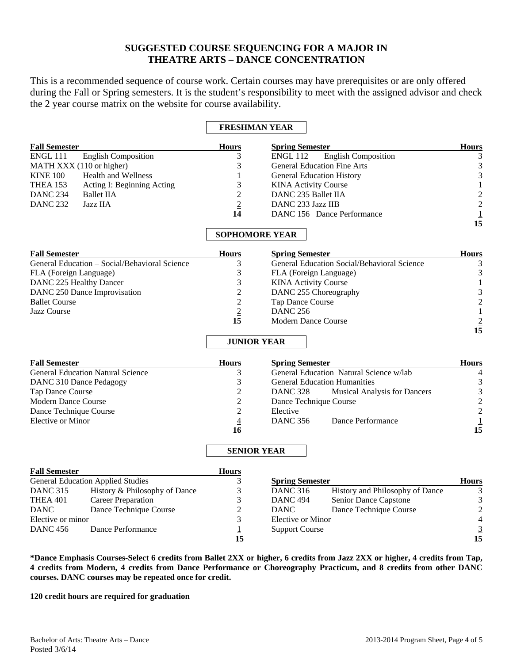## **SUGGESTED COURSE SEQUENCING FOR A MAJOR IN THEATRE ARTS – DANCE CONCENTRATION**

This is a recommended sequence of course work. Certain courses may have prerequisites or are only offered during the Fall or Spring semesters. It is the student's responsibility to meet with the assigned advisor and check the 2 year course matrix on the website for course availability.

### **FRESHMAN YEAR**

| <b>Fall Semester</b>                                             |                                               | <b>Hours</b>          | <b>Spring Semester</b>                             |                                 | <b>Hours</b>                                                 |
|------------------------------------------------------------------|-----------------------------------------------|-----------------------|----------------------------------------------------|---------------------------------|--------------------------------------------------------------|
| <b>ENGL 111</b><br><b>English Composition</b>                    |                                               | 3                     | <b>English Composition</b><br><b>ENGL 112</b>      |                                 | 3                                                            |
| MATH XXX (110 or higher)                                         |                                               | 3                     | <b>General Education Fine Arts</b>                 |                                 | $\ensuremath{\mathfrak{Z}}$                                  |
| <b>KINE 100</b>                                                  | Health and Wellness                           | 1                     | <b>General Education History</b>                   |                                 | 3                                                            |
| THEA 153                                                         | Acting I: Beginning Acting                    | 3                     | <b>KINA Activity Course</b>                        |                                 | $\mathbf 1$                                                  |
| <b>DANC 234</b>                                                  | <b>Ballet IIA</b>                             | $\overline{2}$        | DANC 235 Ballet IIA                                |                                 |                                                              |
| <b>DANC 232</b>                                                  | Jazz IIA                                      | $\overline{2}$        | DANC 233 Jazz IIB                                  |                                 |                                                              |
|                                                                  |                                               | 14                    | DANC 156 Dance Performance                         |                                 | $\begin{array}{c} 2 \\ 2 \\ \underline{1} \\ 15 \end{array}$ |
|                                                                  |                                               |                       |                                                    |                                 |                                                              |
|                                                                  |                                               | <b>SOPHOMORE YEAR</b> |                                                    |                                 |                                                              |
| <b>Fall Semester</b>                                             |                                               | <b>Hours</b>          | <b>Spring Semester</b>                             |                                 | <b>Hours</b>                                                 |
|                                                                  | General Education - Social/Behavioral Science | 3                     | <b>General Education Social/Behavioral Science</b> |                                 | 3                                                            |
| FLA (Foreign Language)                                           |                                               | 3                     | FLA (Foreign Language)                             | $\mathfrak{Z}$                  |                                                              |
| DANC 225 Healthy Dancer                                          |                                               | 3                     | <b>KINA Activity Course</b>                        |                                 | $1\,$                                                        |
|                                                                  | DANC 250 Dance Improvisation                  | $\overline{c}$        | DANC 255 Choreography                              |                                 |                                                              |
| <b>Ballet Course</b>                                             |                                               | $\overline{2}$        | Tap Dance Course                                   |                                 | $\frac{3}{2}$                                                |
| Jazz Course                                                      |                                               | $\overline{2}$        | <b>DANC 256</b>                                    |                                 | $\mathbf 1$                                                  |
|                                                                  |                                               | 15                    | <b>Modern Dance Course</b>                         |                                 |                                                              |
|                                                                  |                                               |                       |                                                    |                                 | $\frac{2}{15}$                                               |
|                                                                  |                                               | <b>JUNIOR YEAR</b>    |                                                    |                                 |                                                              |
| <b>Fall Semester</b>                                             |                                               | <b>Hours</b>          | <b>Spring Semester</b>                             |                                 | <b>Hours</b>                                                 |
|                                                                  | <b>General Education Natural Science</b>      | 3                     | General Education Natural Science w/lab            |                                 | $\overline{4}$                                               |
| DANC 310 Dance Pedagogy                                          |                                               | 3                     | <b>General Education Humanities</b>                |                                 | $\mathfrak{Z}$                                               |
| Tap Dance Course                                                 |                                               | $\overline{c}$        | <b>DANC 328</b><br>Musical Analysis for Dancers    |                                 | $\sqrt{3}$                                                   |
| Modern Dance Course                                              |                                               | $\overline{c}$        | Dance Technique Course                             |                                 |                                                              |
| Dance Technique Course                                           |                                               | $\overline{2}$        | Elective                                           |                                 | $\frac{2}{2}$                                                |
| Elective or Minor                                                |                                               | $\overline{4}$        | <b>DANC 356</b>                                    | Dance Performance               |                                                              |
|                                                                  |                                               | 16                    |                                                    |                                 | $\frac{1}{15}$                                               |
|                                                                  |                                               | <b>SENIOR YEAR</b>    |                                                    |                                 |                                                              |
|                                                                  |                                               |                       |                                                    |                                 |                                                              |
| <b>Fall Semester</b><br><b>General Education Applied Studies</b> |                                               | <b>Hours</b><br>3     | <b>Spring Semester</b>                             |                                 | <b>Hours</b>                                                 |
| <b>DANC 315</b>                                                  | History & Philosophy of Dance                 | 3                     | <b>DANC 316</b>                                    | History and Philosophy of Dance | 3                                                            |
| <b>THEA 401</b>                                                  | <b>Career Preparation</b>                     | 3                     | <b>DANC 494</b>                                    | Senior Dance Capstone           | $\sqrt{3}$                                                   |
| <b>DANC</b>                                                      | Dance Technique Course                        | $\overline{c}$        | <b>DANC</b>                                        | Dance Technique Course          | $\overline{\mathbf{c}}$                                      |
| Elective or minor                                                |                                               | 3                     | <b>Elective or Minor</b>                           |                                 |                                                              |
| Dance Performance<br><b>DANC 456</b>                             |                                               | $\overline{1}$        | <b>Support Course</b>                              |                                 |                                                              |
|                                                                  |                                               | 15                    |                                                    |                                 | $\begin{array}{c} 4 \\ 3 \\ 15 \end{array}$                  |

**\*Dance Emphasis Courses-Select 6 credits from Ballet 2XX or higher, 6 credits from Jazz 2XX or higher, 4 credits from Tap, 4 credits from Modern, 4 credits from Dance Performance or Choreography Practicum, and 8 credits from other DANC courses. DANC courses may be repeated once for credit.** 

**120 credit hours are required for graduation**